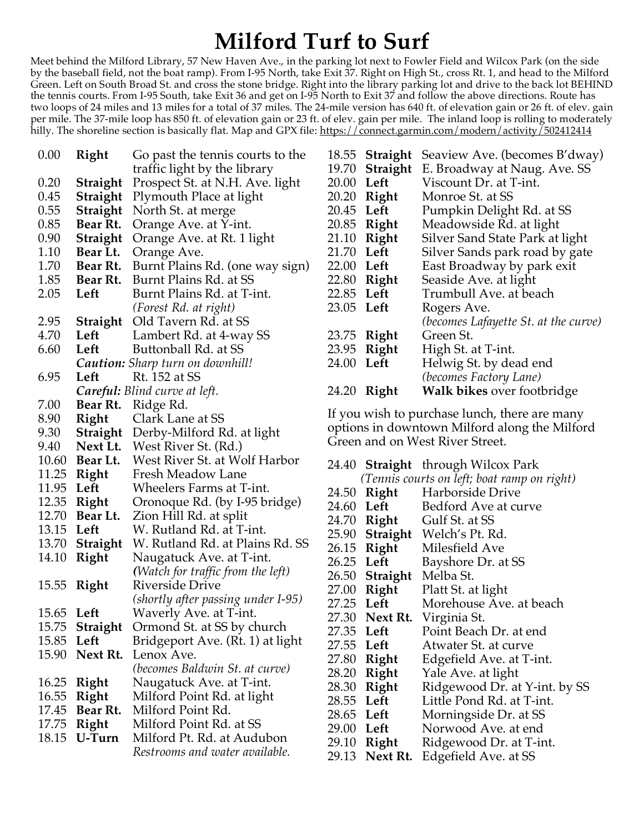## **Milford Turf to Surf**

Meet behind the Milford Library, 57 New Haven Ave., in the parking lot next to Fowler Field and Wilcox Park (on the side by the baseball field, not the boat ramp). From I-95 North, take Exit 37. Right on High St., cross Rt. 1, and head to the Milford Green. Left on South Broad St. and cross the stone bridge. Right into the library parking lot and drive to the back lot BEHIND the tennis courts. From I-95 South, take Exit 36 and get on I-95 North to Exit 37 and follow the above directions. Route has two loops of 24 miles and 13 miles for a total of 37 miles. The 24-mile version has 640 ft. of elevation gain or 26 ft. of elev. gain per mile. The 37-mile loop has 850 ft. of elevation gain or 23 ft. of elev. gain per mile. The inland loop is rolling to moderately hilly. The shoreline section is basically flat. Map and GPX file: <u>https://connect.garmin.com/modern/activity/502412414</u>

| 0.00       | Right           | Go past the tennis courts to the        |
|------------|-----------------|-----------------------------------------|
|            |                 | traffic light by the library            |
| 0.20       | Straight        | Prospect St. at N.H. Ave. light         |
| 0.45       | Straight        | Plymouth Place at light                 |
| 0.55       | Straight        | North St. at merge                      |
| 0.85       | Bear Rt.        | Orange Ave. at Y-int.                   |
| 0.90       | Straight        | Orange Ave. at Rt. 1 light              |
| 1.10       | Bear Lt.        | Orange Ave.                             |
| 1.70       | Bear Rt.        | Burnt Plains Rd. (one way sign)         |
| 1.85       | Bear Rt.        | Burnt Plains Rd. at SS                  |
| 2.05       | Left            | Burnt Plains Rd. at T-int.              |
|            |                 | (Forest Rd. at right)                   |
| 2.95       | Straight        | Old Tavern Rd. at SS                    |
| 4.70       | Left            | Lambert Rd. at 4-way SS                 |
| 6.60       | Left            | Buttonball Rd. at SS                    |
|            |                 | <b>Caution:</b> Sharp turn on downhill! |
| 6.95       | Left            | Rt. 152 at SS                           |
|            |                 | Careful: Blind curve at left.           |
| 7.00       |                 | Bear Rt. Ridge Rd.                      |
| 8.90       | Right           | Clark Lane at SS                        |
| 9.30       | Straight        | Derby-Milford Rd. at light              |
| 9.40       | Next Lt.        | West River St. (Rd.)                    |
|            | 10.60 Bear Lt.  | West River St. at Wolf Harbor           |
| 11.25      | <b>Right</b>    | Fresh Meadow Lane                       |
| 11.95      | Left            | Wheelers Farms at T-int.                |
| 12.35      | Right           | Oronoque Rd. (by I-95 bridge)           |
| 12.70      | Bear Lt.        | Zion Hill Rd. at split                  |
| 13.15 Left |                 | W. Rutland Rd. at T-int.                |
| 13.70      | Straight        | W. Rutland Rd. at Plains Rd. SS         |
| 14.10      | Right           | Naugatuck Ave. at T-int.                |
|            |                 | (Watch for traffic from the left)       |
| 15.55      | Right           | Riverside Drive                         |
|            |                 | (shortly after passing under I-95)      |
| 15.65      | Left            | Waverly Ave. at T-int.                  |
| 15.75      | <b>Straight</b> | Ormond St. at SS by church              |
| 15.85 Left |                 | Bridgeport Ave. (Rt. 1) at light        |
| 15.90      | Next Rt.        | Lenox Ave.                              |
|            |                 | <i>(becomes Baldwin St. at curve)</i>   |
| 16.25      | Right           | Naugatuck Ave. at T-int.                |
| 16.55      | Right           | Milford Point Rd. at light              |
| 17.45      | Bear Rt.        | Milford Point Rd.                       |
| 17.75      | Right           | Milford Point Rd. at SS                 |
| 18.15      | U-Turn          | Milford Pt. Rd. at Audubon              |
|            |                 | Restrooms and water available.          |

| 18.55      | Straight       | Seaview Ave. (becomes B'dway)        |
|------------|----------------|--------------------------------------|
|            | 19.70 Straight | E. Broadway at Naug. Ave. SS         |
| 20.00      | Left           | Viscount Dr. at T-int.               |
| 20.20      | Right          | Monroe St. at SS                     |
| 20.45      | Left           | Pumpkin Delight Rd. at SS            |
| 20.85      | Right          | Meadowside Rd. at light              |
| 21.10      | Right          | Silver Sand State Park at light      |
| 21.70      | Left           | Silver Sands park road by gate       |
| 22.00 Left |                | East Broadway by park exit           |
| 22.80      | Right          | Seaside Ave. at light                |
| 22.85      | Left           | Trumbull Ave. at beach               |
| 23.05 Left |                | Rogers Ave.                          |
|            |                | (becomes Lafayette St. at the curve) |
| 23.75      | Right          | Green St.                            |
|            | 23.95 Right    | High St. at T-int.                   |
| 24.00 Left |                | Helwig St. by dead end               |
|            |                | (becomes Factory Lane)               |
| 24.20      | Right          | <b>Walk bikes over footbridge</b>    |
|            |                |                                      |

If you wish to purchase lunch, there are many options in downtown Milford along the Milford Green and on West River Street.

|                                             |                       | 24.40 <b>Straight</b> through Wilcox Park |  |  |
|---------------------------------------------|-----------------------|-------------------------------------------|--|--|
| (Tennis courts on left; boat ramp on right) |                       |                                           |  |  |
| 24.50                                       |                       | <b>Right</b> Harborside Drive             |  |  |
| 24.60 Left                                  |                       | Bedford Ave at curve                      |  |  |
|                                             |                       | 24.70 Right Gulf St. at SS                |  |  |
|                                             |                       | 25.90 Straight Welch's Pt. Rd.            |  |  |
|                                             |                       | 26.15 Right Milesfield Ave                |  |  |
| 26.25 Left                                  |                       | Bayshore Dr. at SS                        |  |  |
|                                             | 26.50 Straight        | Melba St.                                 |  |  |
|                                             | 27.00 Right           | Platt St. at light                        |  |  |
| 27.25 Left                                  |                       | Morehouse Ave. at beach                   |  |  |
|                                             |                       | 27.30 Next Rt. Virginia St.               |  |  |
| 27.35 Left                                  |                       | Point Beach Dr. at end                    |  |  |
| 27.55 Left                                  |                       | Atwater St. at curve                      |  |  |
|                                             | 27.80 Right           | Edgefield Ave. at T-int.                  |  |  |
|                                             |                       | 28.20 <b>Right</b> Yale Ave. at light     |  |  |
| 28.30                                       | Right                 | Ridgewood Dr. at Y-int. by SS             |  |  |
| 28.55 Left                                  |                       | Little Pond Rd. at T-int.                 |  |  |
|                                             | 28.65 Left            | Morningside Dr. at SS                     |  |  |
| 29.00 Left                                  |                       | Norwood Ave. at end                       |  |  |
|                                             |                       | 29.10 Right Ridgewood Dr. at T-int.       |  |  |
|                                             | 29.13 <b>Next Rt.</b> | Edgefield Ave. at SS                      |  |  |